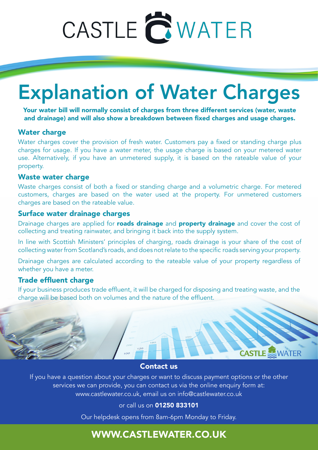# CASTLE **QWATER**

## Explanation of Water Charges

Your water bill will normally consist of charges from three different services (water, waste and drainage) and will also show a breakdown between fixed charges and usage charges.

### Water charge

Water charges cover the provision of fresh water. Customers pay a fixed or standing charge plus charges for usage. If you have a water meter, the usage charge is based on your metered water use. Alternatively, if you have an unmetered supply, it is based on the rateable value of your property.

### Waste water charge

Waste charges consist of both a fixed or standing charge and a volumetric charge. For metered customers, charges are based on the water used at the property. For unmetered customers charges are based on the rateable value.

### Surface water drainage charges

Drainage charges are applied for **roads drainage** and **property drainage** and cover the cost of collecting and treating rainwater, and bringing it back into the supply system.

In line with Scottish Ministers' principles of charging, roads drainage is your share of the cost of collecting water from Scotland's roads, and does not relate to the specific roads serving your property.

Drainage charges are calculated according to the rateable value of your property regardless of whether you have a meter.

### Trade effluent charge

If your business produces trade effluent, it will be charged for disposing and treating waste, and the charge will be based both on volumes and the nature of the effluent.



### Contact us

If you have a question about your charges or want to discuss payment options or the other services we can provide, you can contact us via the online enquiry form at: www.castlewater.co.uk, email us on info@castlewater.co.uk

or call us on 01250 833101

Our helpdesk opens from 8am-6pm Monday to Friday.

### WWW.CASTLEWATER.CO.UK